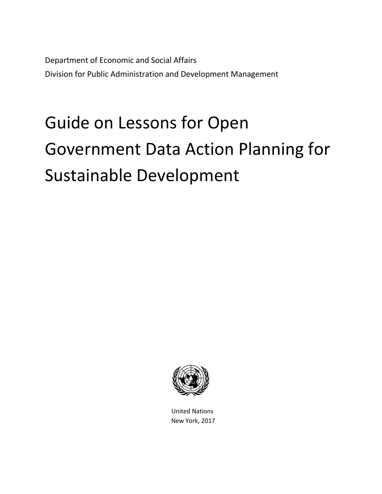Department of Economic and Social Affairs Division for Public Administration and Development Management

# Guide on Lessons for Open Government Data Action Planning for Sustainable Development



 United Nations New York, 2017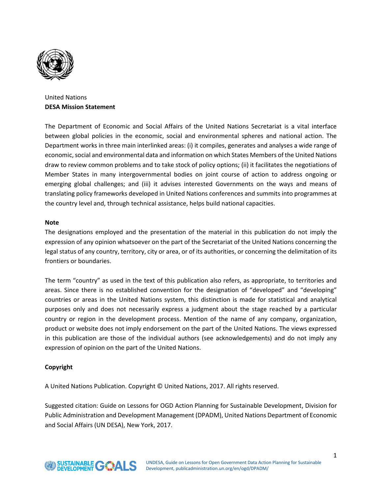

United Nations **DESA Mission Statement**

The Department of Economic and Social Affairs of the United Nations Secretariat is a vital interface between global policies in the economic, social and environmental spheres and national action. The Department works in three main interlinked areas: (i) it compiles, generates and analyses a wide range of economic, social and environmental data and information on which States Members of the United Nations draw to review common problems and to take stock of policy options; (ii) it facilitates the negotiations of Member States in many intergovernmental bodies on joint course of action to address ongoing or emerging global challenges; and (iii) it advises interested Governments on the ways and means of translating policy frameworks developed in United Nations conferences and summits into programmes at the country level and, through technical assistance, helps build national capacities.

#### **Note**

The designations employed and the presentation of the material in this publication do not imply the expression of any opinion whatsoever on the part of the Secretariat of the United Nations concerning the legal status of any country, territory, city or area, or of its authorities, or concerning the delimitation of its frontiers or boundaries.

The term "country" as used in the text of this publication also refers, as appropriate, to territories and areas. Since there is no established convention for the designation of "developed" and "developing" countries or areas in the United Nations system, this distinction is made for statistical and analytical purposes only and does not necessarily express a judgment about the stage reached by a particular country or region in the development process. Mention of the name of any company, organization, product or website does not imply endorsement on the part of the United Nations. The views expressed in this publication are those of the individual authors (see acknowledgements) and do not imply any expression of opinion on the part of the United Nations.

#### **Copyright**

A United Nations Publication. Copyright © United Nations, 2017. All rights reserved.

Suggested citation: Guide on Lessons for OGD Action Planning for Sustainable Development, Division for Public Administration and Development Management (DPADM), United Nations Department of Economic and Social Affairs (UN DESA), New York, 2017.

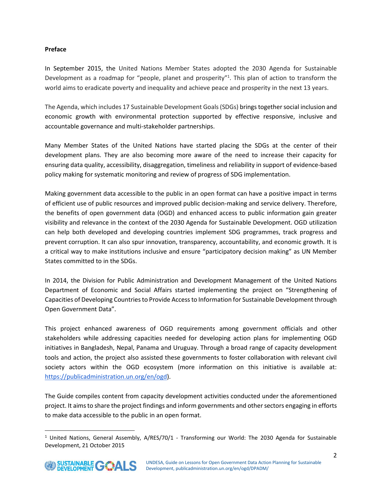#### **Preface**

In September 2015, the United Nations Member States adopted the 2030 Agenda for Sustainable Development as a roadmap for "people, planet and prosperity"<sup>1</sup>. This plan of action to transform the world aims to eradicate poverty and inequality and achieve peace and prosperity in the next 13 years.

The Agenda, which includes 17 Sustainable Development Goals (SDGs) brings together social inclusion and economic growth with environmental protection supported by effective responsive, inclusive and accountable governance and multi-stakeholder partnerships.

Many Member States of the United Nations have started placing the SDGs at the center of their development plans. They are also becoming more aware of the need to increase their capacity for ensuring data quality, accessibility, disaggregation, timeliness and reliability in support of evidence-based policy making for systematic monitoring and review of progress of SDG implementation.

Making government data accessible to the public in an open format can have a positive impact in terms of efficient use of public resources and improved public decision-making and service delivery. Therefore, the benefits of open government data (OGD) and enhanced access to public information gain greater visibility and relevance in the context of the 2030 Agenda for Sustainable Development. OGD utilization can help both developed and developing countries implement SDG programmes, track progress and prevent corruption. It can also spur innovation, transparency, accountability, and economic growth. It is a critical way to make institutions inclusive and ensure "participatory decision making" as UN Member States committed to in the SDGs.

In 2014, the Division for Public Administration and Development Management of the United Nations Department of Economic and Social Affairs started implementing the project on "Strengthening of Capacities of Developing Countries to Provide Access to Information for Sustainable Development through Open Government Data".

This project enhanced awareness of OGD requirements among government officials and other stakeholders while addressing capacities needed for developing action plans for implementing OGD initiatives in Bangladesh, Nepal, Panama and Uruguay. Through a broad range of capacity development tools and action, the project also assisted these governments to foster collaboration with relevant civil society actors within the OGD ecosystem (more information on this initiative is available at: [https://publicadministration.un.org/en/ogd\)](https://publicadministration.un.org/en/ogd).

The Guide compiles content from capacity development activities conducted under the aforementioned project. It aims to share the project findings and inform governments and other sectors engaging in efforts to make data accessible to the public in an open format.

<sup>&</sup>lt;sup>1</sup> United Nations, General Assembly, A/RES/70/1 - Transforming our World: The 2030 Agenda for Sustainable Development, 21 October 2015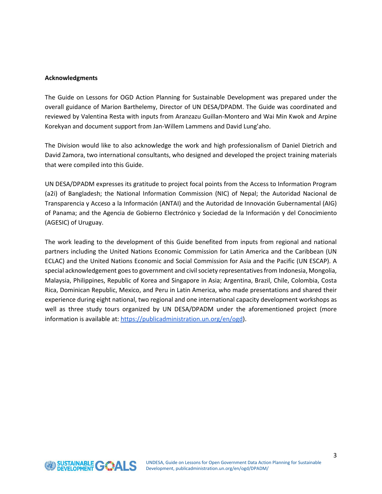#### **Acknowledgments**

The Guide on Lessons for OGD Action Planning for Sustainable Development was prepared under the overall guidance of Marion Barthelemy, Director of UN DESA/DPADM. The Guide was coordinated and reviewed by Valentina Resta with inputs from Aranzazu Guillan-Montero and Wai Min Kwok and Arpine Korekyan and document support from Jan-Willem Lammens and David Lung'aho.

The Division would like to also acknowledge the work and high professionalism of Daniel Dietrich and David Zamora, two international consultants, who designed and developed the project training materials that were compiled into this Guide.

UN DESA/DPADM expresses its gratitude to project focal points from the Access to Information Program (a2i) of Bangladesh; the National Information Commission (NIC) of Nepal; the Autoridad Nacional de Transparencia y Acceso a la Información (ANTAI) and the Autoridad de Innovación Gubernamental (AIG) of Panama; and the Agencia de Gobierno Electrónico y Sociedad de la Información y del Conocimiento (AGESIC) of Uruguay.

The work leading to the development of this Guide benefited from inputs from regional and national partners including the United Nations Economic Commission for Latin America and the Caribbean (UN ECLAC) and the United Nations Economic and Social Commission for Asia and the Pacific (UN ESCAP). A special acknowledgement goes to government and civil society representatives from Indonesia, Mongolia, Malaysia, Philippines, Republic of Korea and Singapore in Asia; Argentina, Brazil, Chile, Colombia, Costa Rica, Dominican Republic, Mexico, and Peru in Latin America, who made presentations and shared their experience during eight national, two regional and one international capacity development workshops as well as three study tours organized by UN DESA/DPADM under the aforementioned project (more information is available at: [https://publicadministration.un.org/en/ogd\)](https://publicadministration.un.org/en/ogd).

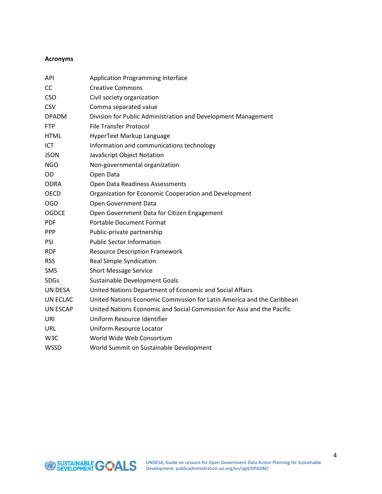#### **Acronyms**

| <b>API</b>       | <b>Application Programming Interface</b>                               |  |  |  |  |
|------------------|------------------------------------------------------------------------|--|--|--|--|
| CC               | <b>Creative Commons</b>                                                |  |  |  |  |
| <b>CSO</b>       | Civil society organization                                             |  |  |  |  |
| <b>CSV</b>       | Comma separated value                                                  |  |  |  |  |
| <b>DPADM</b>     | Division for Public Administration and Development Management          |  |  |  |  |
| <b>FTP</b>       | <b>File Transfer Protocol</b>                                          |  |  |  |  |
| <b>HTML</b>      | HyperText Markup Language                                              |  |  |  |  |
| ICT              | Information and communications technology                              |  |  |  |  |
| <b>JSON</b>      | JavaScript Object Notation                                             |  |  |  |  |
| <b>NGO</b>       | Non-governmental organization                                          |  |  |  |  |
| <b>OD</b>        | Open Data                                                              |  |  |  |  |
| <b>ODRA</b>      | Open Data Readiness Assessments                                        |  |  |  |  |
| <b>OECD</b>      | Organization for Economic Cooperation and Development                  |  |  |  |  |
| <b>OGD</b>       | Open Government Data                                                   |  |  |  |  |
| <b>OGDCE</b>     | Open Government Data for Citizen Engagement                            |  |  |  |  |
| <b>PDF</b>       | <b>Portable Document Format</b>                                        |  |  |  |  |
| <b>PPP</b>       | Public-private partnership                                             |  |  |  |  |
| PSI              | <b>Public Sector Information</b>                                       |  |  |  |  |
| <b>RDF</b>       | <b>Resource Description Framework</b>                                  |  |  |  |  |
| <b>RSS</b>       | <b>Real Simple Syndication</b>                                         |  |  |  |  |
| <b>SMS</b>       | <b>Short Message Service</b>                                           |  |  |  |  |
| <b>SDGs</b>      | Sustainable Development Goals                                          |  |  |  |  |
| UN DESA          | United Nations Department of Economic and Social Affairs               |  |  |  |  |
| UN ECLAC         | United Nations Economic Commission for Latin America and the Caribbean |  |  |  |  |
| <b>UN ESCAP</b>  | United Nations Economic and Social Commission for Asia and the Pacific |  |  |  |  |
| URI              | Uniform Resource Identifier                                            |  |  |  |  |
| URL              | Uniform Resource Locator                                               |  |  |  |  |
| W <sub>3</sub> C | World Wide Web Consortium                                              |  |  |  |  |
| <b>WSSD</b>      | World Summit on Sustainable Development                                |  |  |  |  |

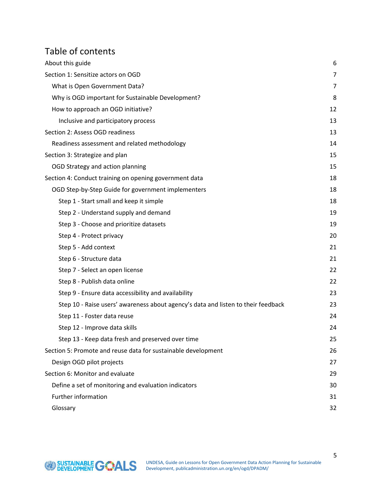# Table of contents

| About this guide                                                                  |    |  |  |  |
|-----------------------------------------------------------------------------------|----|--|--|--|
| Section 1: Sensitize actors on OGD                                                |    |  |  |  |
| What is Open Government Data?                                                     |    |  |  |  |
| Why is OGD important for Sustainable Development?                                 |    |  |  |  |
| How to approach an OGD initiative?                                                | 12 |  |  |  |
| Inclusive and participatory process                                               | 13 |  |  |  |
| Section 2: Assess OGD readiness                                                   | 13 |  |  |  |
| Readiness assessment and related methodology                                      | 14 |  |  |  |
| Section 3: Strategize and plan                                                    |    |  |  |  |
| OGD Strategy and action planning                                                  | 15 |  |  |  |
| Section 4: Conduct training on opening government data                            | 18 |  |  |  |
| OGD Step-by-Step Guide for government implementers                                | 18 |  |  |  |
| Step 1 - Start small and keep it simple                                           | 18 |  |  |  |
| Step 2 - Understand supply and demand                                             | 19 |  |  |  |
| Step 3 - Choose and prioritize datasets                                           | 19 |  |  |  |
| Step 4 - Protect privacy                                                          | 20 |  |  |  |
| Step 5 - Add context                                                              | 21 |  |  |  |
| Step 6 - Structure data                                                           | 21 |  |  |  |
| Step 7 - Select an open license                                                   | 22 |  |  |  |
| Step 8 - Publish data online                                                      | 22 |  |  |  |
| Step 9 - Ensure data accessibility and availability                               |    |  |  |  |
| Step 10 - Raise users' awareness about agency's data and listen to their feedback | 23 |  |  |  |
| Step 11 - Foster data reuse                                                       | 24 |  |  |  |
| Step 12 - Improve data skills                                                     | 24 |  |  |  |
| Step 13 - Keep data fresh and preserved over time                                 | 25 |  |  |  |
| Section 5: Promote and reuse data for sustainable development                     | 26 |  |  |  |
| Design OGD pilot projects                                                         | 27 |  |  |  |
| Section 6: Monitor and evaluate                                                   |    |  |  |  |
| Define a set of monitoring and evaluation indicators                              |    |  |  |  |
| Further information                                                               |    |  |  |  |
| Glossary                                                                          |    |  |  |  |

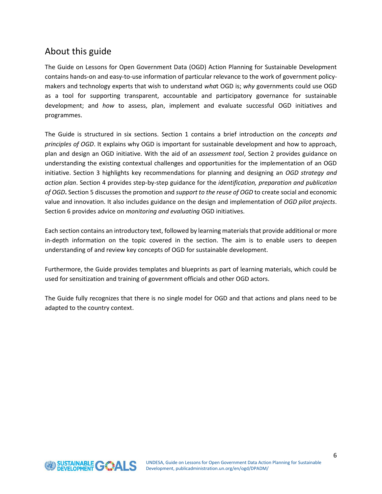# <span id="page-6-0"></span>About this guide

The Guide on Lessons for Open Government Data (OGD) Action Planning for Sustainable Development contains hands-on and easy-to-use information of particular relevance to the work of government policymakers and technology experts that wish to understand *wha*t OGD is; *why* governments could use OGD as a tool for supporting transparent, accountable and participatory governance for sustainable development; and *how* to assess, plan, implement and evaluate successful OGD initiatives and programmes.

The Guide is structured in six sections. Section 1 contains a brief introduction on the *concepts and principles of OGD*. It explains why OGD is important for sustainable development and how to approach, plan and design an OGD initiative. With the aid of an *assessment tool*, Section 2 provides guidance on understanding the existing contextual challenges and opportunities for the implementation of an OGD initiative. Section 3 highlights key recommendations for planning and designing an *OGD strategy and action plan*. Section 4 provides step-by-step guidance for the *identification, preparation and publication of OGD***.** Section 5 discusses the promotion and *support to the reuse of OGD* to create social and economic value and innovation. It also includes guidance on the design and implementation of *OGD pilot projects*. Section 6 provides advice on *monitoring and evaluating* OGD initiatives.

Each section contains an introductory text, followed by learning materials that provide additional or more in-depth information on the topic covered in the section. The aim is to enable users to deepen understanding of and review key concepts of OGD for sustainable development.

Furthermore, the Guide provides templates and blueprints as part of learning materials, which could be used for sensitization and training of government officials and other OGD actors.

The Guide fully recognizes that there is no single model for OGD and that actions and plans need to be adapted to the country context.

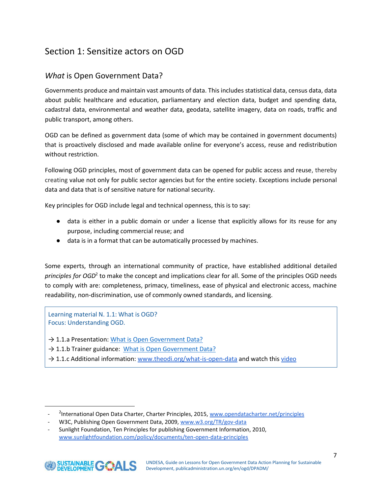# <span id="page-7-0"></span>Section 1: Sensitize actors on OGD

## <span id="page-7-1"></span>*What* is Open Government Data?

Governments produce and maintain vast amounts of data. This includes statistical data, census data, data about public healthcare and education, parliamentary and election data, budget and spending data, cadastral data, environmental and weather data, geodata, satellite imagery, data on roads, traffic and public transport, among others.

OGD can be defined as government data (some of which may be contained in government documents) that is proactively disclosed and made available online for everyone's access, reuse and redistribution without restriction.

Following OGD principles, most of government data can be opened for public access and reuse, thereby creating value not only for public sector agencies but for the entire society. Exceptions include personal data and data that is of sensitive nature for national security.

Key principles for OGD include legal and technical openness, this is to say:

- data is either in a public domain or under a license that explicitly allows for its reuse for any purpose, including commercial reuse; and
- data is in a format that can be automatically processed by machines.

Some experts, through an international community of practice, have established additional detailed principles for OGD<sup>2</sup> to make the concept and implications clear for all. Some of the principles OGD needs to comply with are: completeness, primacy, timeliness, ease of physical and electronic access, machine readability, non-discrimination, use of commonly owned standards, and licensing.

Learning material N. 1.1: What is OGD? Focus: Understanding OGD.

- → 1.1.a Presentation: What is [Open Government Data?](https://drive.google.com/open?id=164YV4butF52p4VBBRuZb-HYFOzl7-amA)
- → 1.1.b Trainer guidance: [What is Open Government Data?](https://drive.google.com/open?id=1ZZyg7BuCugrXaew0zNZkMUsJIC4B42A4)
- $\rightarrow$  1.1.c Additional information: [www.theodi.org/what-is-open-data](http://www.theodi.org/what-is-open-data) and watch thi[s video](https://vimeo.com/125783029)

<sup>-</sup> Sunlight Foundation, Ten Principles for publishing Government Information, 2010, [www.sunlightfoundation.com/policy/documents/ten-open-data-principles](http://www.sunlightfoundation.com/policy/documents/ten-open-data-principles) 



 <sup>2</sup>International Open Data Charter, Charter Principles, 2015, [www.opendatacharter.net/principles](http://opendatacharter.net/principles)

W3C, Publishing Open Government Data, 2009, [www.w3.org/TR/gov-data](http://www.w3.org/TR/gov-data)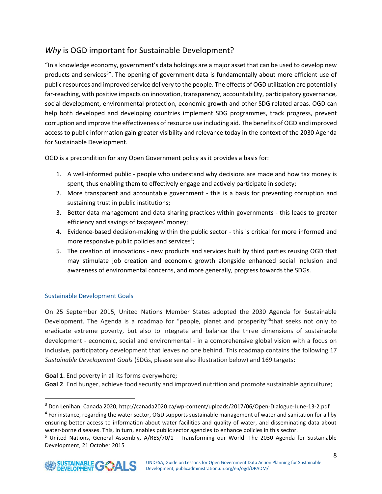## <span id="page-8-0"></span>*Why* is OGD important for Sustainable Development?

"In a knowledge economy, government's data holdings are a major asset that can be used to develop new products and services<sup>3</sup>". The opening of government data is fundamentally about more efficient use of public resources and improved service delivery to the people. The effects of OGD utilization are potentially far-reaching, with positive impacts on innovation, transparency, accountability, participatory governance, social development, environmental protection, economic growth and other SDG related areas. OGD can help both developed and developing countries implement SDG programmes, track progress, prevent corruption and improve the effectiveness of resource use including aid. The benefits of OGD and improved access to public information gain greater visibility and relevance today in the context of the 2030 Agenda for Sustainable Development.

OGD is a precondition for any Open Government policy as it provides a basis for:

- 1. A well-informed public people who understand why decisions are made and how tax money is spent, thus enabling them to effectively engage and actively participate in society;
- 2. More transparent and accountable government this is a basis for preventing corruption and sustaining trust in public institutions;
- 3. Better data management and data sharing practices within governments this leads to greater efficiency and savings of taxpayers' money;
- 4. Evidence-based decision-making within the public sector this is critical for more informed and more responsive public policies and services<sup>4</sup>;
- 5. The creation of innovations new products and services built by third parties reusing OGD that may stimulate job creation and economic growth alongside enhanced social inclusion and awareness of environmental concerns, and more generally, progress towards the SDGs.

#### Sustainable Development Goals

On 25 September 2015, United Nations Member States adopted the 2030 Agenda for Sustainable Development. The Agenda is a roadmap for "people, planet and prosperity"<sup>5</sup>that seeks not only to eradicate extreme poverty, but also to integrate and balance the three dimensions of sustainable development - economic, social and environmental - in a comprehensive global vision with a focus on inclusive, participatory development that leaves no one behind. This roadmap contains the following 17 *Sustainable Development Goals* (SDGs, please see also illustration below) and 169 targets:

**Goal 1**. End poverty in all its forms everywhere;

**Goal 2**. End hunger, achieve food security and improved nutrition and promote sustainable agriculture;

<sup>&</sup>lt;sup>5</sup> United Nations, General Assembly, A/RES/70/1 - Transforming our World: The 2030 Agenda for Sustainable Development, 21 October 2015



<sup>3</sup> Don Lenihan, Canada 2020, http://canada2020.ca/wp-content/uploads/2017/06/Open-Dialogue-June-13-2.pdf

<sup>&</sup>lt;sup>4</sup> For instance, regarding the water sector, OGD supports sustainable management of water and sanitation for all by ensuring better access to information about water facilities and quality of water, and disseminating data about water-borne diseases. This, in turn, enables public sector agencies to enhance policies in this sector.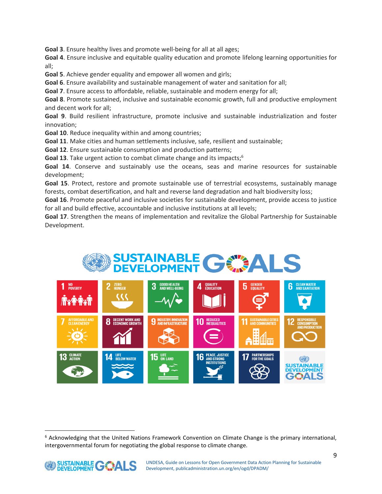**Goal 3**. Ensure healthy lives and promote well-being for all at all ages;

**Goal 4**. Ensure inclusive and equitable quality education and promote lifelong learning opportunities for all;

**Goal 5**. Achieve gender equality and empower all women and girls;

**Goal 6**. Ensure availability and sustainable management of water and sanitation for all;

**Goal 7**. Ensure access to affordable, reliable, sustainable and modern energy for all;

**Goal 8**. Promote sustained, inclusive and sustainable economic growth, full and productive employment and decent work for all;

**Goal 9**. Build resilient infrastructure, promote inclusive and sustainable industrialization and foster innovation;

**Goal 10**. Reduce inequality within and among countries;

**Goal 11**. Make cities and human settlements inclusive, safe, resilient and sustainable;

**Goal 12**. Ensure sustainable consumption and production patterns;

**Goal 13**. Take urgent action to combat climate change and its impacts; 6

**Goal 14**. Conserve and sustainably use the oceans, seas and marine resources for sustainable development;

**Goal 15**. Protect, restore and promote sustainable use of terrestrial ecosystems, sustainably manage forests, combat desertification, and halt and reverse land degradation and halt biodiversity loss;

**Goal 16**. Promote peaceful and inclusive societies for sustainable development, provide access to justice for all and build effective, accountable and inclusive institutions at all levels;

**Goal 17**. Strengthen the means of implementation and revitalize the Global Partnership for Sustainable Development.





 $6$  Acknowledging that the United Nations Framework Convention on Climate Change is the primary international, intergovernmental forum for negotiating the global response to climate change.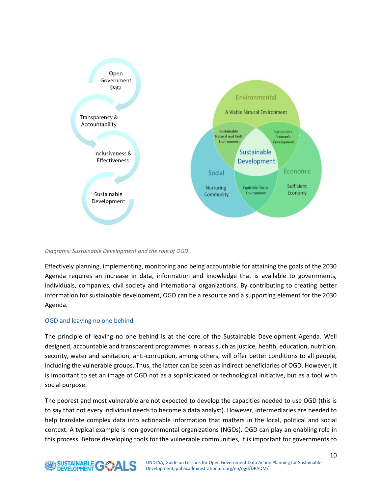

*Diagrams: Sustainable Development and the role of OGD*

Effectively planning, implementing, monitoring and being accountable for attaining the goals of the 2030 Agenda requires an increase in data, information and knowledge that is available to governments, individuals, companies, civil society and international organizations. By contributing to creating better information for sustainable development, OGD can be a resource and a supporting element for the 2030 Agenda.

#### OGD and leaving no one behind

The principle of leaving no one behind is at the core of the Sustainable Development Agenda. Well designed, accountable and transparent programmes in areas such as justice, health, education, nutrition, security, water and sanitation, anti-corruption, among others, will offer better conditions to all people, including the vulnerable groups. Thus, the latter can be seen as indirect beneficiaries of OGD. However, it is important to set an image of OGD not as a sophisticated or technological initiative, but as a tool with social purpose.

The poorest and most vulnerable are not expected to develop the capacities needed to use OGD (this is to say that not every individual needs to become a data analyst). However, intermediaries are needed to help translate complex data into actionable information that matters in the local, political and social context. A typical example is non-governmental organizations (NGOs). OGD can play an enabling role in this process. Before developing tools for the vulnerable communities, it is important for governments to

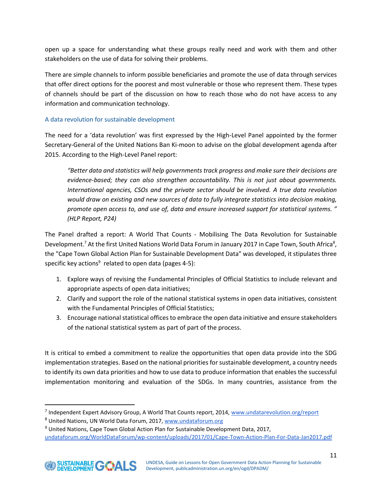open up a space for understanding what these groups really need and work with them and other stakeholders on the use of data for solving their problems.

There are simple channels to inform possible beneficiaries and promote the use of data through services that offer direct options for the poorest and most vulnerable or those who represent them. These types of channels should be part of the discussion on how to reach those who do not have access to any information and communication technology.

#### A data revolution for sustainable development

The need for a 'data revolution' was first expressed by the High-Level Panel appointed by the former Secretary-General of the United Nations Ban Ki-moon to advise on the global development agenda after 2015. According to the High-Level Panel report:

*"Better data and statistics will help governments track progress and make sure their decisions are evidence-based; they can also strengthen accountability. This is not just about governments. International agencies, CSOs and the private sector should be involved. A true data revolution would draw on existing and new sources of data to fully integrate statistics into decision making, promote open access to, and use of, data and ensure increased support for statistical systems.* " *(HLP Report, P24)* 

The Panel drafted a report: A World That Counts - Mobilising The Data Revolution for Sustainable Development.<sup>7</sup> At the first United Nations World Data Forum in January 2017 in Cape Town, South Africa<sup>8</sup>, the "Cape Town Global Action Plan for Sustainable Development Data" was developed, it stipulates three specific key actions<sup>9</sup> related to open data (pages 4-5):

- 1. Explore ways of revising the Fundamental Principles of Official Statistics to include relevant and appropriate aspects of open data initiatives;
- 2. Clarify and support the role of the national statistical systems in open data initiatives, consistent with the Fundamental Principles of Official Statistics;
- 3. Encourage national statistical offices to embrace the open data initiative and ensure stakeholders of the national statistical system as part of part of the process.

It is critical to embed a commitment to realize the opportunities that open data provide into the SDG implementation strategies. Based on the national priorities for sustainable development, a country needs to identify its own data priorities and how to use data to produce information that enables the successful implementation monitoring and evaluation of the SDGs. In many countries, assistance from the

<sup>&</sup>lt;sup>7</sup> Independent Expert Advisory Group, A World That Counts report, 2014, www.undatarevolution.org/report

<sup>8</sup> United Nations, UN World Data Forum, 2017, www.undataforum.org

<sup>&</sup>lt;sup>9</sup> United Nations, Cape Town Global Action Plan for Sustainable Development Data, 2017, undataforum.org/WorldDataForum/wp-content/uploads/2017/01/Cape-Town-Action-Plan-For-Data-Jan2017.pdf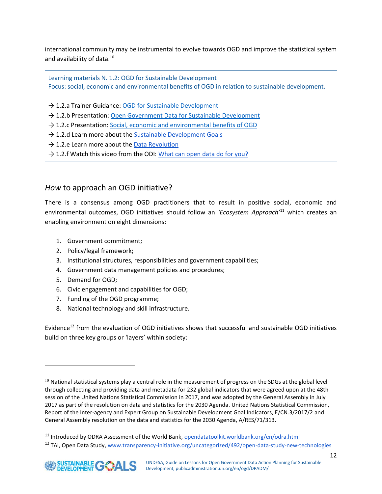international community may be instrumental to evolve towards OGD and improve the statistical system and availability of data.<sup>10</sup>

Learning materials N. 1.2: OGD for Sustainable Development Focus: social, economic and environmental benefits of OGD in relation to sustainable development.

→ 1.2.a Trainer Guidance: [OGD for Sustainable Development](https://drive.google.com/open?id=1mi_AU0aMYkXBjGM1uTf50OxvdBmRebMH)

→ 1.2.b Presentation: Open Government Data [for Sustainable Development](https://drive.google.com/open?id=1_K6A0IWDVU4NbgpX4WffljVL5BANLi-1)

 $\rightarrow$  1.2.c Presentation: [Social, economic and environmental benefits of OGD](https://drive.google.com/open?id=16RgQdfbqn__vZr4OsZGD_Jv6qfOZ2l2J)

- $\rightarrow$  1.2.d Learn more about th[e Sustainable Development Goals](https://sustainabledevelopment.un.org/sdgs)
- $\rightarrow$  1.2.e Learn more about the [Data Revolution](http://www.undatarevolution.org/)
- $\rightarrow$  1.2.f Watch this video from the ODI: [What can open data do for you?](https://vimeo.com/110800848)

## <span id="page-12-0"></span>*How* to approach an OGD initiative?

There is a consensus among OGD practitioners that to result in positive social, economic and environmental outcomes, OGD initiatives should follow an *'Ecosystem Approach'*<sup>11</sup> which creates an enabling environment on eight dimensions:

- 1. Government commitment;
- 2. Policy/legal framework;
- 3. Institutional structures, responsibilities and government capabilities;
- 4. Government data management policies and procedures;
- 5. Demand for OGD;
- 6. Civic engagement and capabilities for OGD;
- 7. Funding of the OGD programme;
- 8. National technology and skill infrastructure.

Evidence<sup>12</sup> from the evaluation of OGD initiatives shows that successful and sustainable OGD initiatives build on three key groups or 'layers' within society:

 $10$  National statistical systems play a central role in the measurement of progress on the SDGs at the global level through collecting and providing data and metadata for 232 global indicators that were agreed upon at the 48th session of the United Nations Statistical Commission in 2017, and was adopted by the General Assembly in July 2017 as part of the resolution on data and statistics for the 2030 Agenda. United Nations Statistical Commission, Report of the Inter-agency and Expert Group on Sustainable Development Goal Indicators, E/CN.3/2017/2 and General Assembly resolution on the data and statistics for the 2030 Agenda, A/RES/71/313.

<sup>&</sup>lt;sup>11</sup> Introduced by ODRA Assessment of the World Bank, **opendatatoolkit.worldbank.org/en/odra.html** <sup>12</sup> TAI, Open Data Study, www.transparency-initiative.org/uncategorized/492/open-data-study-new-technologies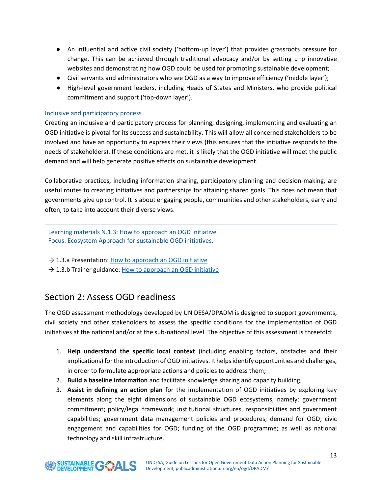- An influential and active civil society ('bottom-up layer') that provides grassroots pressure for change. This can be achieved through traditional advocacy and/or by setting u–p innovative websites and demonstrating how OGD could be used for promoting sustainable development;
- Civil servants and administrators who see OGD as a way to improve efficiency ('middle layer');
- High-level government leaders, including Heads of States and Ministers, who provide political commitment and support ('top-down layer').

#### <span id="page-13-0"></span>Inclusive and participatory process

Creating an inclusive and participatory process for planning, designing, implementing and evaluating an OGD initiative is pivotal for its success and sustainability. This will allow all concerned stakeholders to be involved and have an opportunity to express their views (this ensures that the initiative responds to the needs of stakeholders). If these conditions are met, it is likely that the OGD initiative will meet the public demand and will help generate positive effects on sustainable development.

Collaborative practices, including information sharing, participatory planning and decision-making, are useful routes to creating initiatives and partnerships for attaining shared goals. This does not mean that governments give up control. It is about engaging people, communities and other stakeholders, early and often, to take into account their diverse views.

Learning materials N.1.3: How to approach an OGD initiative Focus: Ecosystem Approach for sustainable OGD initiatives.

- $\rightarrow$  1.3.a Presentation: [How to approach an OGD initiative](https://drive.google.com/open?id=14B9nQXbNdFoN-NX0qSNYlvzzJ9pNZ7CS)
- $\rightarrow$  1.3.b Trainer guidance: [How to approach an OGD initiative](https://drive.google.com/open?id=1vw_HDXz-FGjoy90KXm37Lmym635UrR6G)

## <span id="page-13-1"></span>Section 2: Assess OGD readiness

The OGD assessment methodology developed by UN DESA/DPADM is designed to support governments, civil society and other stakeholders to assess the specific conditions for the implementation of OGD initiatives at the national and/or at the sub-national level. The objective of this assessment is threefold:

- 1. **Help understand the specific local context** (including enabling factors, obstacles and their implications) for the introduction of OGD initiatives. It helps identify opportunities and challenges, in order to formulate appropriate actions and policies to address them;
- 2. **Build a baseline information** and facilitate knowledge sharing and capacity building;
- 3. **Assist in defining an action plan** for the implementation of OGD initiatives by exploring key elements along the eight dimensions of sustainable OGD ecosystems, namely: government commitment; policy/legal framework; institutional structures, responsibilities and government capabilities; government data management policies and procedures; demand for OGD; civic engagement and capabilities for OGD; funding of the OGD programme; as well as national technology and skill infrastructure.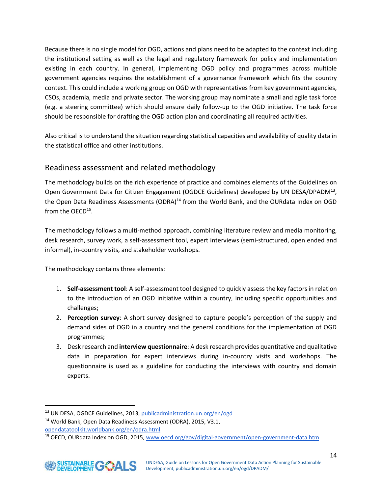Because there is no single model for OGD, actions and plans need to be adapted to the context including the institutional setting as well as the legal and regulatory framework for policy and implementation existing in each country. In general, implementing OGD policy and programmes across multiple government agencies requires the establishment of a governance framework which fits the country context. This could include a working group on OGD with representatives from key government agencies, CSOs, academia, media and private sector. The working group may nominate a small and agile task force (e.g. a steering committee) which should ensure daily follow-up to the OGD initiative. The task force should be responsible for drafting the OGD action plan and coordinating all required activities.

Also critical is to understand the situation regarding statistical capacities and availability of quality data in the statistical office and other institutions.

## <span id="page-14-0"></span>Readiness assessment and related methodology

The methodology builds on the rich experience of practice and combines elements of the Guidelines on Open Government Data for Citizen Engagement (OGDCE Guidelines) developed by UN DESA/DPADM<sup>13</sup>, the Open Data Readiness Assessments (ODRA)<sup>14</sup> from the World Bank, and the OURdata Index on OGD from the  $OECD^{15}$ .

The methodology follows a multi-method approach, combining literature review and media monitoring, desk research, survey work, a self-assessment tool, expert interviews (semi-structured, open ended and informal), in-country visits, and stakeholder workshops.

The methodology contains three elements:

- 1. **Self-assessment tool**: A self-assessment tool designed to quickly assess the key factors in relation to the introduction of an OGD initiative within a country, including specific opportunities and challenges;
- 2. **Perception survey**: A short survey designed to capture people's perception of the supply and demand sides of OGD in a country and the general conditions for the implementation of OGD programmes;
- 3. Desk research and **interview questionnaire**: A desk research provides quantitative and qualitative data in preparation for expert interviews during in-country visits and workshops. The questionnaire is used as a guideline for conducting the interviews with country and domain experts.

<sup>&</sup>lt;sup>13</sup> UN DESA, OGDCE Guidelines, 2013, publicadministration.un.org/en/ogd

<sup>14</sup> World Bank, Open Data Readiness Assessment (ODRA), 2015, V3.1, opendatatoolkit.worldbank.org/en/odra.html

<sup>&</sup>lt;sup>15</sup> OECD, OURdata Index on OGD, 2015, www.oecd.org/gov/digital-government/open-government-data.htm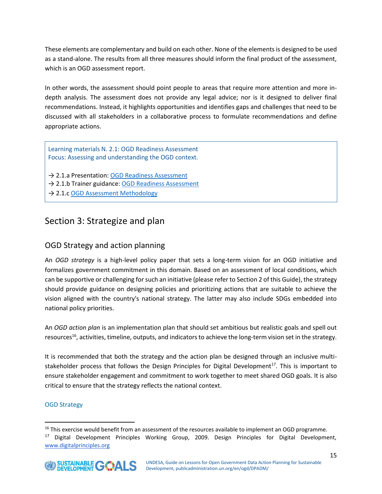These elements are complementary and build on each other. None of the elements is designed to be used as a stand-alone. The results from all three measures should inform the final product of the assessment, which is an OGD assessment report.

In other words, the assessment should point people to areas that require more attention and more indepth analysis. The assessment does not provide any legal advice; nor is it designed to deliver final recommendations. Instead, it highlights opportunities and identifies gaps and challenges that need to be discussed with all stakeholders in a collaborative process to formulate recommendations and define appropriate actions.

Learning materials N. 2.1: OGD Readiness Assessment Focus: Assessing and understanding the OGD context.

→ 2.1.a Presentation: [OGD Readiness Assessment](https://drive.google.com/open?id=1o7W69yX8I55fG-8DZtLP0oIUIRq27SEt)

- → 2.1.b Trainer guidance: [OGD Readiness Assessment](https://drive.google.com/open?id=1zwig5ckohL-kzGntKhJTbe_mEA80UZeK)
- → 2.1.c [OGD Assessment Methodology](https://drive.google.com/open?id=1eY08cHq1VIB89u18XhfN1hi3jJ0HB2GI)

# <span id="page-15-0"></span>Section 3: Strategize and plan

## <span id="page-15-1"></span>OGD Strategy and action planning

An *OGD strategy* is a high-level policy paper that sets a long-term vision for an OGD initiative and formalizes government commitment in this domain. Based on an assessment of local conditions, which can be supportive or challenging for such an initiative (please refer to Section 2 of this Guide), the strategy should provide guidance on designing policies and prioritizing actions that are suitable to achieve the vision aligned with the country's national strategy. The latter may also include SDGs embedded into national policy priorities.

An *OGD action plan* is an implementation plan that should set ambitious but realistic goals and spell out resources<sup>16</sup>, activities, timeline, outputs, and indicators to achieve the long-term vision set in the strategy.

It is recommended that both the strategy and the action plan be designed through an inclusive multistakeholder process that follows the Design Principles for Digital Development<sup>17</sup>. This is important to ensure stakeholder engagement and commitment to work together to meet shared OGD goals. It is also critical to ensure that the strategy reflects the national context.

#### OGD Strategy

<sup>&</sup>lt;sup>17</sup> Digital Development Principles Working Group, 2009. Design Principles for Digital Development, www.digitalprinciples.org



<sup>&</sup>lt;sup>16</sup> This exercise would benefit from an assessment of the resources available to implement an OGD programme.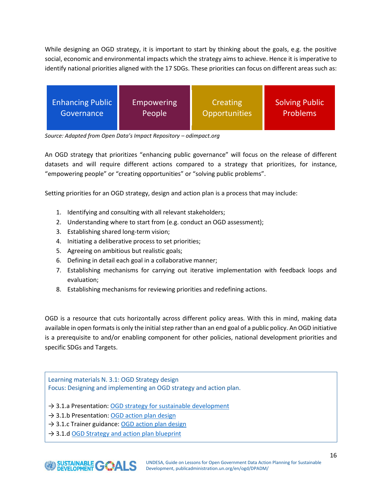While designing an OGD strategy, it is important to start by thinking about the goals, e.g. the positive social, economic and environmental impacts which the strategy aims to achieve. Hence it is imperative to identify national priorities aligned with the 17 SDGs. These priorities can focus on different areas such as:



*Source: Adapted from Open Data's Impact Repository – odimpact.org* 

An OGD strategy that prioritizes "enhancing public governance" will focus on the release of different datasets and will require different actions compared to a strategy that prioritizes, for instance, "empowering people" or "creating opportunities" or "solving public problems".

Setting priorities for an OGD strategy, design and action plan is a process that may include:

- 1. Identifying and consulting with all relevant stakeholders;
- 2. Understanding where to start from (e.g. conduct an OGD assessment);
- 3. Establishing shared long-term vision;
- 4. Initiating a deliberative process to set priorities;
- 5. Agreeing on ambitious but realistic goals;
- 6. Defining in detail each goal in a collaborative manner;
- 7. Establishing mechanisms for carrying out iterative implementation with feedback loops and evaluation;
- 8. Establishing mechanisms for reviewing priorities and redefining actions.

OGD is a resource that cuts horizontally across different policy areas. With this in mind, making data available in open formats is only the initial step rather than an end goal of a public policy. An OGD initiative is a prerequisite to and/or enabling component for other policies, national development priorities and specific SDGs and Targets.

Learning materials N. 3.1: OGD Strategy design Focus: Designing and implementing an OGD strategy and action plan.

- $\rightarrow$  3.1.a Presentation: [OGD strategy for sustainable development](https://drive.google.com/open?id=1SaijMJaGMGxaR1pH4gvhB1mCr5ltUMCd)
- $\rightarrow$  3.1.b Presentation: [OGD action plan design](https://drive.google.com/open?id=1lcW18xljeUngj8dSO3b7sT1_Hx9ipE6l)
- → 3.1.c Trainer guidance: [OGD action plan design](https://drive.google.com/open?id=1nF9bWA6VRn_ibMTnyRJZgpUroz1u3jlt)
- $\rightarrow$  3.1.d [OGD Strategy and action plan blueprint](https://drive.google.com/open?id=1uIm9tvMHRGm0-7vYfjHimxdxCOcIOdv3)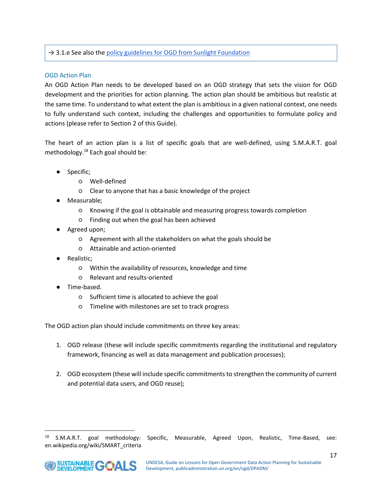#### $\rightarrow$  3.1.e See also the [policy guidelines for OGD from Sunlight Foundation](https://sunlightfoundation.com/opendataguidelines/)

#### OGD Action Plan

An OGD Action Plan needs to be developed based on an OGD strategy that sets the vision for OGD development and the priorities for action planning. The action plan should be ambitious but realistic at the same time. To understand to what extent the plan is ambitious in a given national context, one needs to fully understand such context, including the challenges and opportunities to formulate policy and actions (please refer to Section 2 of this Guide).

The heart of an action plan is a list of specific goals that are well-defined, using S.M.A.R.T. goal methodology.<sup>18</sup> Each goal should be:

- Specific;
	- Well-defined
	- Clear to anyone that has a basic knowledge of the project
- Measurable;
	- Knowing if the goal is obtainable and measuring progress towards completion
	- Finding out when the goal has been achieved
- Agreed upon;
	- Agreement with all the stakeholders on what the goals should be
	- Attainable and action-oriented
- Realistic:
	- Within the availability of resources, knowledge and time
	- Relevant and results-oriented
- Time-based.
	- Sufficient time is allocated to achieve the goal
	- Timeline with milestones are set to track progress

The OGD action plan should include commitments on three key areas:

- 1. OGD release (these will include specific commitments regarding the institutional and regulatory framework, financing as well as data management and publication processes);
- 2. OGD ecosystem (these will include specific commitments to strengthen the community of current and potential data users, and OGD reuse);

<sup>&</sup>lt;sup>18</sup> S.M.A.R.T. goal methodology: Specific, Measurable, Agreed Upon, Realistic, Time-Based, see: en.wikipedia.org/wiki/SMART\_criteria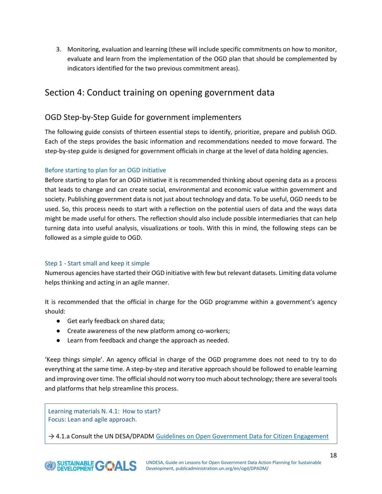3. Monitoring, evaluation and learning (these will include specific commitments on how to monitor, evaluate and learn from the implementation of the OGD plan that should be complemented by indicators identified for the two previous commitment areas).

# <span id="page-18-0"></span>Section 4: Conduct training on opening government data

## <span id="page-18-1"></span>OGD Step-by-Step Guide for government implementers

The following guide consists of thirteen essential steps to identify, prioritize, prepare and publish OGD. Each of the steps provides the basic information and recommendations needed to move forward. The step-by-step guide is designed for government officials in charge at the level of data holding agencies.

#### Before starting to plan for an OGD initiative

Before starting to plan for an OGD initiative it is recommended thinking about opening data as a process that leads to change and can create social, environmental and economic value within government and society. Publishing government data is not just about technology and data. To be useful, OGD needs to be used. So, this process needs to start with a reflection on the potential users of data and the ways data might be made useful for others. The reflection should also include possible intermediaries that can help turning data into useful analysis, visualizations or tools. With this in mind, the following steps can be followed as a simple guide to OGD.

#### <span id="page-18-2"></span>Step 1 - Start small and keep it simple

Numerous agencies have started their OGD initiative with few but relevant datasets. Limiting data volume helps thinking and acting in an agile manner.

It is recommended that the official in charge for the OGD programme within a government's agency should:

- Get early feedback on shared data;
- Create awareness of the new platform among co-workers;
- Learn from feedback and change the approach as needed.

'Keep things simple'. An agency official in charge of the OGD programme does not need to try to do everything at the same time. A step-by-step and iterative approach should be followed to enable learning and improving over time. The official should not worry too much about technology; there are several tools and platforms that help streamline this process.

Learning materials N. 4.1: How to start? Focus: Lean and agile approach.

 $\rightarrow$  4.1.a Consult the UN DESA/DPADM [Guidelines on Open Government Data for Citizen Engagement](https://drive.google.com/open?id=1o2CgFvx5Z5Y9dn8uiH-isHJYKgXgNo_M)

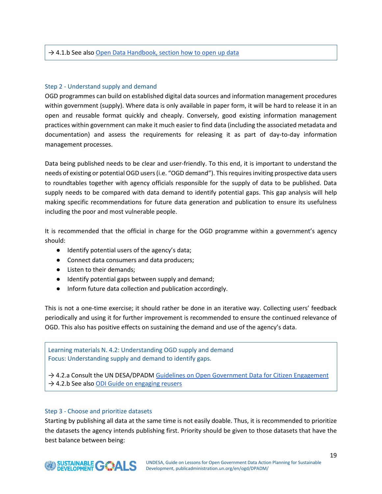#### <span id="page-19-0"></span>Step 2 - Understand supply and demand

OGD programmes can build on established digital data sources and information management procedures within government (supply). Where data is only available in paper form, it will be hard to release it in an open and reusable format quickly and cheaply. Conversely, good existing information management practices within government can make it much easier to find data (including the associated metadata and documentation) and assess the requirements for releasing it as part of day-to-day information management processes.

Data being published needs to be clear and user-friendly. To this end, it is important to understand the needs of existing or potential OGD users (i.e. "OGD demand"). This requires inviting prospective data users to roundtables together with agency officials responsible for the supply of data to be published. Data supply needs to be compared with data demand to identify potential gaps. This gap analysis will help making specific recommendations for future data generation and publication to ensure its usefulness including the poor and most vulnerable people.

It is recommended that the official in charge for the OGD programme within a government's agency should:

- Identify potential users of the agency's data;
- Connect data consumers and data producers;
- Listen to their demands;
- Identify potential gaps between supply and demand;
- Inform future data collection and publication accordingly.

This is not a one-time exercise; it should rather be done in an iterative way. Collecting users' feedback periodically and using it for further improvement is recommended to ensure the continued relevance of OGD. This also has positive effects on sustaining the demand and use of the agency's data.

Learning materials N. 4.2: Understanding OGD supply and demand Focus: Understanding supply and demand to identify gaps.

→ 4.2.a Consult the UN DESA/DPADM [Guidelines on Open Government Data for Citizen Engagement](https://drive.google.com/open?id=1o2CgFvx5Z5Y9dn8uiH-isHJYKgXgNo_M)  $\rightarrow$  4.2.b See also [ODI Guide on engaging reusers](http://theodi.org/guides/engaging-reusers)

#### <span id="page-19-1"></span>Step 3 - Choose and prioritize datasets

Starting by publishing all data at the same time is not easily doable. Thus, it is recommended to prioritize the datasets the agency intends publishing first. Priority should be given to those datasets that have the best balance between being:

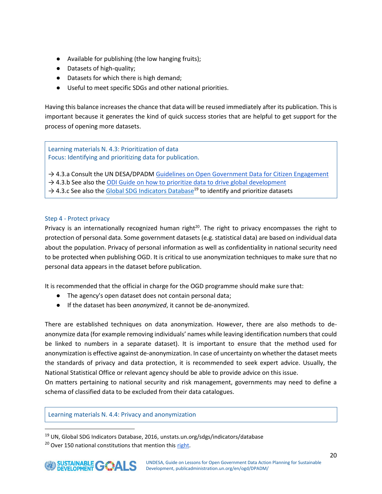- Available for publishing (the low hanging fruits);
- Datasets of high-quality;
- Datasets for which there is high demand;
- Useful to meet specific SDGs and other national priorities.

Having this balance increases the chance that data will be reused immediately after its publication. This is important because it generates the kind of quick success stories that are helpful to get support for the process of opening more datasets.

Learning materials N. 4.3: Prioritization of data Focus: Identifying and prioritizing data for publication.

→ 4.3.a Consult the UN DESA/DPADM [Guidelines on Open Government Data for Citizen Engagement](https://drive.google.com/open?id=1o2CgFvx5Z5Y9dn8uiH-isHJYKgXgNo_M)

→ 4.3.b See also the ODI Guide on how to [prioritize data to drive global development](http://theodi.org/guides/prioritise-open-data-to-drive-global-development)

[→](http://theodi.org/guides/prioritise-open-data-to-drive-global-development) [4.3.c](http://theodi.org/guides/prioritise-open-data-to-drive-global-development) [See](http://theodi.org/guides/prioritise-open-data-to-drive-global-development) [also](http://theodi.org/guides/prioritise-open-data-to-drive-global-development) [the](http://theodi.org/guides/prioritise-open-data-to-drive-global-development) [Global SDG Indicators Database](https://unstats.un.org/sdgs/indicators/database)<sup>19</sup> [to](http://theodi.org/guides/prioritise-open-data-to-drive-global-development) [identify](http://theodi.org/guides/prioritise-open-data-to-drive-global-development) [and](http://theodi.org/guides/prioritise-open-data-to-drive-global-development) [prioriti](http://theodi.org/guides/prioritise-open-data-to-drive-global-development)ze [datasets](http://theodi.org/guides/prioritise-open-data-to-drive-global-development)

#### <span id="page-20-0"></span>Step 4 - Protect privacy

Privacy is an internationally recognized human right $2<sup>0</sup>$ . The right to privacy encompasses the right to protection of personal data. Some government datasets (e.g. statistical data) are based on individual data about the population. Privacy of personal information as well as confidentiality in national security need to be protected when publishing OGD. It is critical to use anonymization techniques to make sure that no personal data appears in the dataset before publication.

It is recommended that the official in charge for the OGD programme should make sure that:

- The agency's open dataset does not contain personal data;
- If the dataset has been *anonymized*, it cannot be de-anonymized.

There are established techniques on data anonymization. However, there are also methods to deanonymize data (for example removing individuals' names while leaving identification numbers that could be linked to numbers in a separate dataset). It is important to ensure that the method used for anonymization is effective against de-anonymization. In case of uncertainty on whether the dataset meets the standards of privacy and data protection, it is recommended to seek expert advice. Usually, the National Statistical Office or relevant agency should be able to provide advice on this issue.

On matters pertaining to national security and risk management, governments may need to define a schema of classified data to be excluded from their data catalogues.

#### Learning materials N. 4.4: Privacy and anonymization

<sup>19</sup> UN, Global SDG Indicators Database, 2016, [unstats.un.org/sdgs/indicators/database](https://unstats.un.org/sdgs/indicators/database/)

 $20$  Over 150 national constitutions that mention this [right.](https://www.constituteproject.org/search?lang=en&key=privacy)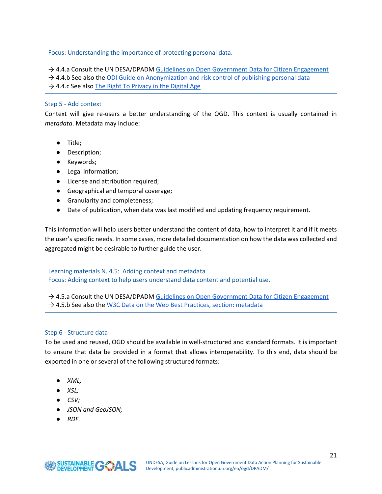Focus: Understanding the importance of protecting personal data.

→ 4.4.a Consult the UN DESA/DPADM [Guidelines on Open Government Data for Citizen Engagement](https://drive.google.com/open?id=1o2CgFvx5Z5Y9dn8uiH-isHJYKgXgNo_M)

- → 4.4.b See also the [ODI Guide](https://theodi.org/guides/save-the-titanic-handson-anonymisation-and-risk-control-of-publishing-open-data) [on Anonymization and risk control of publishing personal data](https://theodi.org/guides/save-the-titanic-handson-anonymisation-and-risk-control-of-publishing-open-data)
- $\rightarrow$  4.4.c S[e](https://theodi.org/guides/save-the-titanic-handson-anonymisation-and-risk-control-of-publishing-open-data)e [also](https://theodi.org/guides/save-the-titanic-handson-anonymisation-and-risk-control-of-publishing-open-data) [The Right To Privacy in the Digital Age](http://www.ohchr.org/EN/Issues/DigitalAge/Pages/DigitalAgeIndex.aspx)

#### <span id="page-21-0"></span>Step 5 - Add context

Context will give re-users a better understanding of the OGD. This context is usually contained in *metadata*. Metadata may include:

- Title;
- Description;
- Keywords;
- Legal information;
- License and attribution required;
- Geographical and temporal coverage;
- Granularity and completeness;
- Date of publication, when data was last modified and updating frequency requirement.

This information will help users better understand the content of data, how to interpret it and if it meets the user's specific needs. In some cases, more detailed documentation on how the data was collected and aggregated might be desirable to further guide the user.

Learning materials N. 4.5: Adding context and metadata Focus: Adding context to help users understand data content and potential use.

 $\rightarrow$  4.5.a Consult the UN DESA/DPADM [Guidelines on Open Government Data for Citizen Engagement](https://drive.google.com/open?id=1o2CgFvx5Z5Y9dn8uiH-isHJYKgXgNo_M)  $\rightarrow$  4.5.b See also the [W3C Data on the Web Best Practices, section: metadata](http://bit.ly/2fLB4xP)

#### <span id="page-21-1"></span>Step 6 - Structure data

To be used and reused, OGD should be available in well-structured and standard formats. It is important to ensure that data be provided in a format that allows interoperability. To this end, data should be exported in one or several of the following structured formats:

- *XML*;
- *XSL;*
- *CSV;*
- *JSON and GeoJSON;*
- *RDF.*

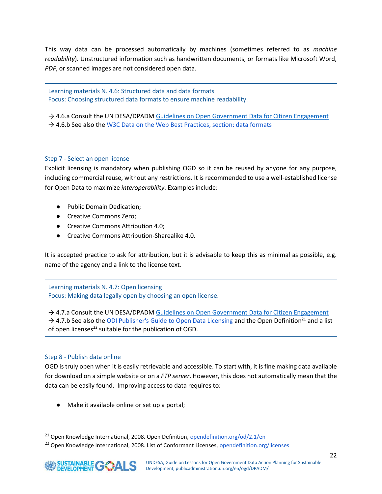This way data can be processed automatically by machines (sometimes referred to as *machine readability*). Unstructured information such as handwritten documents, or formats like Microsoft Word, *PDF*, or scanned images are not considered open data.

Learning materials N. 4.6: Structured data and data formats Focus: Choosing structured data formats to ensure machine readability.

→ 4.6.a Consult the UN DESA/DPADM [Guidelines on Open Government Data for Citizen Engagement](https://drive.google.com/open?id=1o2CgFvx5Z5Y9dn8uiH-isHJYKgXgNo_M)  $\rightarrow$  4.6.b See also the [W3C Data on the Web Best Practices, section: data formats](http://bit.ly/2uPzPAo)

#### <span id="page-22-0"></span>Step 7 - Select an open license

Explicit licensing is mandatory when publishing OGD so it can be reused by anyone for any purpose, including commercial reuse, without any restrictions. It is recommended to use a well-established license for Open Data to maximize *interoperability*. Examples include:

- Public Domain Dedication;
- Creative Commons Zero;
- Creative Commons Attribution 4.0;
- Creative Commons Attribution-Sharealike 4.0.

It is accepted practice to ask for attribution, but it is advisable to keep this as minimal as possible, e.g. name of the agency and a link to the license text.

Learning materials N. 4.7: Open licensing Focus: Making data legally open by choosing an open license.

→ 4.7.a Consult the UN DESA/DPADM [Guidelines on Open Government Data for Citizen Engagement](https://drive.google.com/open?id=1o2CgFvx5Z5Y9dn8uiH-isHJYKgXgNo_M)  $\rightarrow$  4.7.b See also the [ODI Publisher's Guide to Open Data Licensing](https://theodi.org/guides/publishers-guide-open-data-licensing) and the Open Definition<sup>21</sup> and a list of open licenses $^{22}$  suitable for the publication of OGD.

#### <span id="page-22-1"></span>Step 8 - Publish data online

OGD is truly open when it is easily retrievable and accessible. To start with, it is fine making data available for download on a simple website or on a *FTP server*. However, this does not automatically mean that the data can be easily found. Improving access to data requires to:

● Make it available online or set up a portal;

<sup>&</sup>lt;sup>21</sup> Open Knowledge International, 2008. Open Definition, opendefinition.org/od/2.1/en

<sup>&</sup>lt;sup>22</sup> Open Knowledge International, 2008. List of Conformant Licenses, opendefinition.org/licenses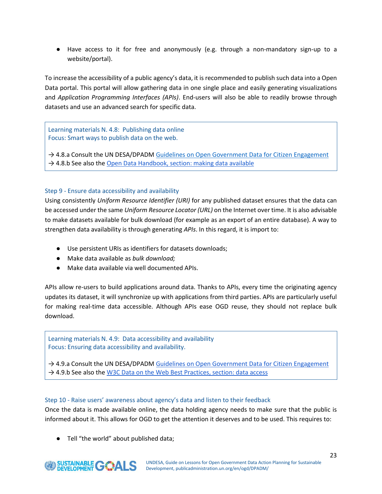● Have access to it for free and anonymously (e.g. through a non-mandatory sign-up to a website/portal).

To increase the accessibility of a public agency's data, it is recommended to publish such data into a Open Data portal. This portal will allow gathering data in one single place and easily generating visualizations and *Application Programming Interfaces (APIs)*. End-users will also be able to readily browse through datasets and use an advanced search for specific data.

Learning materials N. 4.8: Publishing data online Focus: Smart ways to publish data on the web.

 $\rightarrow$  4.8.a Consult the UN DESA/DPADM [Guidelines on Open Government Data for Citizen Engagement](https://drive.google.com/open?id=1o2CgFvx5Z5Y9dn8uiH-isHJYKgXgNo_M)  $\rightarrow$  4.8.b See also the [Open Data Handbook, section: making data available](http://bit.ly/2wQk2CL)

#### <span id="page-23-0"></span>Step 9 - Ensure data accessibility and availability

Using consistently *Uniform Resource Identifier (URI)* for any published dataset ensures that the data can be accessed under the same *Uniform Resource Locator (URL)* on the Internet over time. It is also advisable to make datasets available for bulk download (for example as an export of an entire database). A way to strengthen data availability is through generating *APIs*. In this regard, it is import to:

- Use persistent URIs as identifiers for datasets downloads;
- Make data available as *bulk download;*
- Make data available via well documented APIs.

APIs allow re-users to build applications around data. Thanks to APIs, every time the originating agency updates its dataset, it will synchronize up with applications from third parties. APIs are particularly useful for making real-time data accessible. Although APIs ease OGD reuse, they should not replace bulk download.

Learning materials N. 4.9: Data accessibility and availability Focus: Ensuring data accessibility and availability.

→ 4.9.a Consult the UN DESA/DPADM [Guidelines on Open Government Data for Citizen Engagement](https://drive.google.com/open?id=1o2CgFvx5Z5Y9dn8uiH-isHJYKgXgNo_M)  $\rightarrow$  4.9.b See also the [W3C Data on the Web Best Practices, section: data access](http://bit.ly/2fL3AzF)

#### <span id="page-23-1"></span>Step 10 - Raise users' awareness about agency's data and listen to their feedback

Once the data is made available online, the data holding agency needs to make sure that the public is informed about it. This allows for OGD to get the attention it deserves and to be used. This requires to:

● Tell "the world" about published data;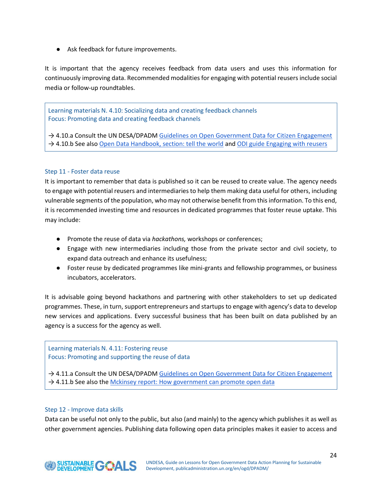● Ask feedback for future improvements.

It is important that the agency receives feedback from data users and uses this information for continuously improving data. Recommended modalities for engaging with potential reusers include social media or follow-up roundtables.

Learning materials N. 4.10: Socializing data and creating feedback channels Focus: Promoting data and creating feedback channels

→ 4.10.a Consult the UN DESA/DPADM Guidelines on [Open Government Data for Citizen Engagement](https://drive.google.com/open?id=1o2CgFvx5Z5Y9dn8uiH-isHJYKgXgNo_M) → 4.10.b See also [Open Data Handbook, section: tell the world](http://tinyurl.com/y72eksmz) and [ODI guide Engaging with reusers](https://theodi.org/guides/engaging-reusers)

#### <span id="page-24-0"></span>Step 11 - Foster data reuse

It is important to remember that data is published so it can be reused to create value. The agency needs to engage with potential reusers and intermediaries to help them making data useful for others, including vulnerable segments of the population, who may not otherwise benefit from this information. To this end, it is recommended investing time and resources in dedicated programmes that foster reuse uptake. This may include:

- Promote the reuse of data via *hackathons,* workshops or conferences;
- Engage with new intermediaries including those from the private sector and civil society, to expand data outreach and enhance its usefulness;
- Foster reuse by dedicated programmes like mini-grants and fellowship programmes, or business incubators, accelerators.

It is advisable going beyond hackathons and partnering with other stakeholders to set up dedicated programmes. These, in turn, support entrepreneurs and startups to engage with agency's data to develop new services and applications. Every successful business that has been built on data published by an agency is a success for the agency as well.

#### Learning materials N. 4.11: Fostering reuse Focus: Promoting and supporting the reuse of data

→ 4.11.a Consult the UN DESA/DPADM [Guidelines on Open Government Data for Citizen Engagement](https://drive.google.com/open?id=1o2CgFvx5Z5Y9dn8uiH-isHJYKgXgNo_M)  $\rightarrow$  4.11.b See also the [Mckinsey report: How government can promote open data](http://www.mckinsey.com/industries/public-sector/our-insights/how-government-can-promote-open-data)

#### <span id="page-24-1"></span>Step 12 - Improve data skills

Data can be useful not only to the public, but also (and mainly) to the agency which publishes it as well as other government agencies. Publishing data following open data principles makes it easier to access and

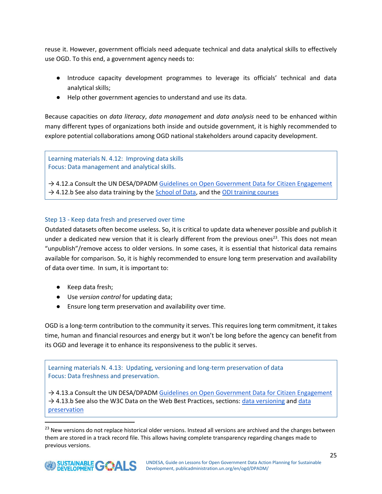reuse it. However, government officials need adequate technical and data analytical skills to effectively use OGD. To this end, a government agency needs to:

- Introduce capacity development programmes to leverage its officials' technical and data analytical skills;
- Help other government agencies to understand and use its data.

Because capacities on *data literacy*, *data management* and *data analysis* need to be enhanced within many different types of organizations both inside and outside government, it is highly recommended to explore potential collaborations among OGD national stakeholders around capacity development.

Learning materials N. 4.12: Improving data skills Focus: Data management and analytical skills.

 $\rightarrow$  4.12.a Consult the UN DESA/DPADM [Guidelines on Open Government Data for Citizen Engagement](https://drive.google.com/open?id=1o2CgFvx5Z5Y9dn8uiH-isHJYKgXgNo_M) → 4.12.b See also data training by the [School of Data,](https://schoolofdata.org/) and the [ODI training courses](https://theodi.org/courses)

#### <span id="page-25-0"></span>Step 13 - Keep data fresh and preserved over time

Outdated datasets often become useless. So, it is critical to update data whenever possible and publish it under a dedicated new version that it is clearly different from the previous ones<sup>23</sup>. This does not mean "unpublish"/remove access to older versions. In some cases, it is essential that historical data remains available for comparison. So, it is highly recommended to ensure long term preservation and availability of data over time. In sum, it is important to:

- Keep data fresh;
- Use *version control* for updating data;
- Ensure long term preservation and availability over time.

OGD is a long-term contribution to the community it serves. This requires long term commitment, it takes time, human and financial resources and energy but it won't be long before the agency can benefit from its OGD and leverage it to enhance its responsiveness to the public it serves.

Learning materials N. 4.13: Updating, versioning and long-term preservation of data Focus: Data freshness and preservation.

→ 4.13.a Consult the UN DESA/DPADM [Guidelines on Open Government Data for Citizen Engagement](https://drive.google.com/open?id=1o2CgFvx5Z5Y9dn8uiH-isHJYKgXgNo_M) → 4.13.b See also the W3C Data on the Web Best Practices, sections: [data versioning](http://bit.ly/2x4JRyf) and data [preservation](http://bit.ly/2wfI5gH)

<sup>&</sup>lt;sup>23</sup> New versions do not replace historical older versions. Instead all versions are archived and the changes between them are stored in a track record file. This allows having complete transparency regarding changes made to previous versions.

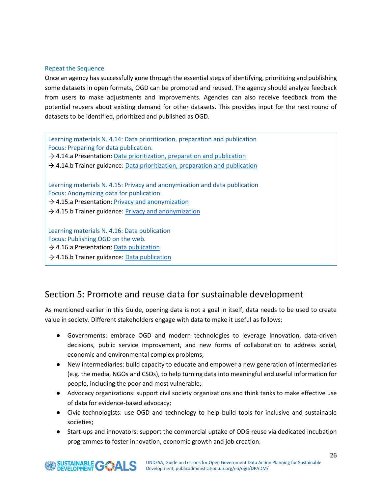#### Repeat the Sequence

Once an agency has successfully gone through the essential steps of identifying, prioritizing and publishing some datasets in open formats, OGD can be promoted and reused. The agency should analyze feedback from users to make adjustments and improvements. Agencies can also receive feedback from the potential reusers about existing demand for other datasets. This provides input for the next round of datasets to be identified, prioritized and published as OGD.

Learning materials N. 4.14: Data prioritization, preparation and publication Focus: Preparing for data publication. → 4.14.a Presentation: [Data prioritization, preparation and](https://drive.google.com/open?id=1twDyidJ522XXHelaomkMUiyLJNXDbvBu) publication  $\rightarrow$  4.14.b Trainer guidance: [Data prioritization, preparation and](https://drive.google.com/open?id=1HHy2Q0H-p7IxDF3WRY74N05DOtYhUsSj) publication Learning materials N. 4.15: Privacy and anonymization and data publication Focus: Anonymizing data for publication. → 4.15.a Presentation: [Privacy and anonymization](https://drive.google.com/open?id=1D2wK6vSENIGDQ7-oN25IFrsiY79pli7R) → 4.15.b Trainer guidance: *[Privacy and anonymization](https://drive.google.com/open?id=1oIR6iQ09WxtAQRcWtvFK-agFXbT0rggn)* Learning materials N. 4.16: Data publication Focus: Publishing OGD on the web.  $\rightarrow$  4.16.a Presentation: [Data publication](https://drive.google.com/open?id=1krQgbJHjsrQN1fIiEKaF_0uY3D8ox48T)

→ 4.16.b Trainer guidance: [Data publication](https://drive.google.com/open?id=1tf4_NFTC9pALx0m2jMa-_CaRr6fXLxE3)

# <span id="page-26-0"></span>Section 5: Promote and reuse data for sustainable development

As mentioned earlier in this Guide, opening data is not a goal in itself; data needs to be used to create value in society. Different stakeholders engage with data to make it useful as follows:

- Governments: embrace OGD and modern technologies to leverage innovation, data-driven decisions, public service improvement, and new forms of collaboration to address social, economic and environmental complex problems;
- New intermediaries: build capacity to educate and empower a new generation of intermediaries (e.g. the media, NGOs and CSOs), to help turning data into meaningful and useful information for people, including the poor and most vulnerable;
- Advocacy organizations: support civil society organizations and think tanks to make effective use of data for evidence-based advocacy;
- Civic technologists: use OGD and technology to help build tools for inclusive and sustainable societies;
- Start-ups and innovators: support the commercial uptake of ODG reuse via dedicated incubation programmes to foster innovation, economic growth and job creation.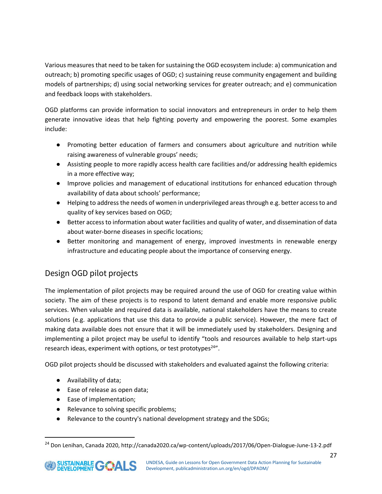Various measures that need to be taken for sustaining the OGD ecosystem include: a) communication and outreach; b) promoting specific usages of OGD; c) sustaining reuse community engagement and building models of partnerships; d) using social networking services for greater outreach; and e) communication and feedback loops with stakeholders.

OGD platforms can provide information to social innovators and entrepreneurs in order to help them generate innovative ideas that help fighting poverty and empowering the poorest. Some examples include:

- Promoting better education of farmers and consumers about agriculture and nutrition while raising awareness of vulnerable groups' needs;
- Assisting people to more rapidly access health care facilities and/or addressing health epidemics in a more effective way;
- Improve policies and management of educational institutions for enhanced education through availability of data about schools' performance;
- Helping to address the needs of women in underprivileged areas through e.g. better access to and quality of key services based on OGD;
- Better access to information about water facilities and quality of water, and dissemination of data about water-borne diseases in specific locations;
- Better monitoring and management of energy, improved investments in renewable energy infrastructure and educating people about the importance of conserving energy.

# <span id="page-27-0"></span>Design OGD pilot projects

The implementation of pilot projects may be required around the use of OGD for creating value within society. The aim of these projects is to respond to latent demand and enable more responsive public services. When valuable and required data is available, national stakeholders have the means to create solutions (e.g. applications that use this data to provide a public service). However, the mere fact of making data available does not ensure that it will be immediately used by stakeholders. Designing and implementing a pilot project may be useful to identify "tools and resources available to help start-ups research ideas, experiment with options, or test prototypes<sup>24"</sup>.

OGD pilot projects should be discussed with stakeholders and evaluated against the following criteria:

- Availability of data;
- Ease of release as open data;
- Ease of implementation;
- Relevance to solving specific problems;
- Relevance to the country's national development strategy and the SDGs;

<sup>24</sup> Don Lenihan, Canada 2020, http://canada2020.ca/wp-content/uploads/2017/06/Open-Dialogue-June-13-2.pdf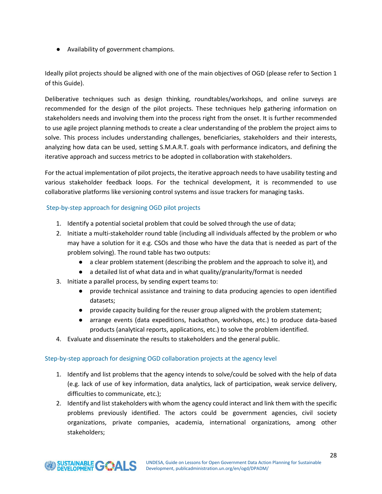● Availability of government champions.

Ideally pilot projects should be aligned with one of the main objectives of OGD (please refer to Section 1 of this Guide).

Deliberative techniques such as design thinking, roundtables/workshops, and online surveys are recommended for the design of the pilot projects. These techniques help gathering information on stakeholders needs and involving them into the process right from the onset. It is further recommended to use agile project planning methods to create a clear understanding of the problem the project aims to solve. This process includes understanding challenges, beneficiaries, stakeholders and their interests, analyzing how data can be used, setting S.M.A.R.T. goals with performance indicators, and defining the iterative approach and success metrics to be adopted in collaboration with stakeholders.

For the actual implementation of pilot projects, the iterative approach needs to have usability testing and various stakeholder feedback loops. For the technical development, it is recommended to use collaborative platforms like versioning control systems and issue trackers for managing tasks.

#### Step-by-step approach for designing OGD pilot projects

- 1. Identify a potential societal problem that could be solved through the use of data;
- 2. Initiate a multi-stakeholder round table (including all individuals affected by the problem or who may have a solution for it e.g. CSOs and those who have the data that is needed as part of the problem solving). The round table has two outputs:
	- a clear problem statement (describing the problem and the approach to solve it), and
	- a detailed list of what data and in what quality/granularity/format is needed
- 3. Initiate a parallel process, by sending expert teams to:
	- provide technical assistance and training to data producing agencies to open identified datasets;
	- provide capacity building for the reuser group aligned with the problem statement;
	- arrange events (data expeditions, hackathon, workshops, etc.) to produce data-based products (analytical reports, applications, etc.) to solve the problem identified.
- 4. Evaluate and disseminate the results to stakeholders and the general public.

#### Step-by-step approach for designing OGD collaboration projects at the agency level

- 1. Identify and list problems that the agency intends to solve/could be solved with the help of data (e.g. lack of use of key information, data analytics, lack of participation, weak service delivery, difficulties to communicate, etc.);
- 2. Identify and list stakeholders with whom the agency could interact and link them with the specific problems previously identified. The actors could be government agencies, civil society organizations, private companies, academia, international organizations, among other stakeholders;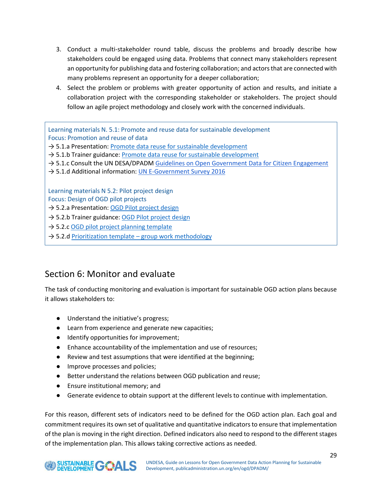- 3. Conduct a multi-stakeholder round table, discuss the problems and broadly describe how stakeholders could be engaged using data. Problems that connect many stakeholders represent an opportunity for publishing data and fostering collaboration; and actors that are connected with many problems represent an opportunity for a deeper collaboration;
- 4. Select the problem or problems with greater opportunity of action and results, and initiate a collaboration project with the corresponding stakeholder or stakeholders. The project should follow an agile project methodology and closely work with the concerned individuals.

Learning materials N. 5.1: Promote and reuse data for sustainable development Focus: Promotion and reuse of data

 $\rightarrow$  5.1.a Presentation: [Promote data reuse for sustainable development](https://drive.google.com/open?id=1YCoWPZ_LhW7xW7tMaTMDboMS-uIuLYcO)

- $\rightarrow$  5.1.b Trainer guidance: [Promote data reuse for sustainable development](https://drive.google.com/open?id=1zjFd8iCyfSM8bhjvURAzKCtxpdZs9ens)
- → 5.1.c Consult the UN DESA/DPADM [Guidelines on Open Government Data for Citizen Engagement](https://drive.google.com/open?id=1o2CgFvx5Z5Y9dn8uiH-isHJYKgXgNo_M)
- → 5.1.d Additional information: [UN E-Government Survey 2016](https://publicadministration.un.org/en/Research/UN-e-Government-Surveys)

Learning materials N 5.2: Pilot project design

Focus: Design of OGD pilot projects

→ 5.2.a Presentation: [OGD Pilot project design](https://drive.google.com/open?id=1wHGwi7G4T9zdp64CmOtdiAh8bGRXdGMR)

 $\rightarrow$  5.2.b Trainer guidance: [OGD Pilot project design](https://drive.google.com/open?id=1YndsxP5qmwz2Zu1BBUoOC_Z8VvkkOofx)

 $\rightarrow$  5.2.[c OGD pilot project planning template](https://drive.google.com/open?id=1Qjk9qOpXV1ngUHieSUtixRBE_HMWdwvX)

 $\rightarrow$  5.2.[d Prioritization template](https://drive.google.com/open?id=1puT0HidRV3ONI3o5Z06xHpHmYt1W6NVJ) – group work methodology

# <span id="page-29-0"></span>Section 6: Monitor and evaluate

The task of conducting monitoring and evaluation is important for sustainable OGD action plans because it allows stakeholders to:

- Understand the initiative's progress;
- Learn from experience and generate new capacities;
- Identify opportunities for improvement;
- Enhance accountability of the implementation and use of resources;
- Review and test assumptions that were identified at the beginning;
- **•** Improve processes and policies;
- Better understand the relations between OGD publication and reuse;
- Ensure institutional memory; and
- Generate evidence to obtain support at the different levels to continue with implementation.

For this reason, different sets of indicators need to be defined for the OGD action plan. Each goal and commitment requires its own set of qualitative and quantitative indicators to ensure that implementation of the plan is moving in the right direction. Defined indicators also need to respond to the different stages of the implementation plan. This allows taking corrective actions as needed.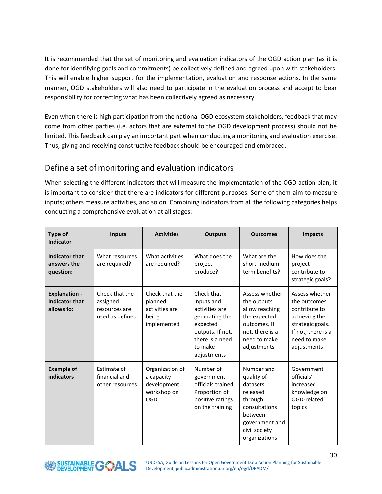It is recommended that the set of monitoring and evaluation indicators of the OGD action plan (as it is done for identifying goals and commitments) be collectively defined and agreed upon with stakeholders. This will enable higher support for the implementation, evaluation and response actions. In the same manner, OGD stakeholders will also need to participate in the evaluation process and accept to bear responsibility for correcting what has been collectively agreed as necessary.

Even when there is high participation from the national OGD ecosystem stakeholders, feedback that may come from other parties (i.e. actors that are external to the OGD development process) should not be limited. This feedback can play an important part when conducting a monitoring and evaluation exercise. Thus, giving and receiving constructive feedback should be encouraged and embraced.

## <span id="page-30-0"></span>Define a set of monitoring and evaluation indicators

When selecting the different indicators that will measure the implementation of the OGD action plan, it is important to consider that there are indicators for different purposes. Some of them aim to measure inputs; others measure activities, and so on. Combining indicators from all the following categories helps conducting a comprehensive evaluation at all stages:

| Type of<br><b>Indicator</b>                                 | <b>Inputs</b>                                                  | <b>Activities</b>                                                   | <b>Outputs</b>                                                                                                                            | <b>Outcomes</b>                                                                                                                             | <b>Impacts</b>                                                                                                                            |
|-------------------------------------------------------------|----------------------------------------------------------------|---------------------------------------------------------------------|-------------------------------------------------------------------------------------------------------------------------------------------|---------------------------------------------------------------------------------------------------------------------------------------------|-------------------------------------------------------------------------------------------------------------------------------------------|
| <b>Indicator that</b><br>answers the<br>question:           | What resources<br>are required?                                | What activities<br>are required?                                    | What does the<br>project<br>produce?                                                                                                      | What are the<br>short-medium<br>term benefits?                                                                                              | How does the<br>project<br>contribute to<br>strategic goals?                                                                              |
| <b>Explanation -</b><br><b>Indicator that</b><br>allows to: | Check that the<br>assigned<br>resources are<br>used as defined | Check that the<br>planned<br>activities are<br>being<br>implemented | Check that<br>inputs and<br>activities are<br>generating the<br>expected<br>outputs. If not,<br>there is a need<br>to make<br>adjustments | Assess whether<br>the outputs<br>allow reaching<br>the expected<br>outcomes. If<br>not, there is a<br>need to make<br>adjustments           | Assess whether<br>the outcomes<br>contribute to<br>achieving the<br>strategic goals.<br>If not, there is a<br>need to make<br>adjustments |
| <b>Example of</b><br>indicators                             | Estimate of<br>financial and<br>other resources                | Organization of<br>a capacity<br>development<br>workshop on<br>OGD  | Number of<br>government<br>officials trained<br>Proportion of<br>positive ratings<br>on the training                                      | Number and<br>quality of<br>datasets<br>released<br>through<br>consultations<br>between<br>government and<br>civil society<br>organizations | Government<br>officials'<br>increased<br>knowledge on<br>OGD-related<br>topics                                                            |

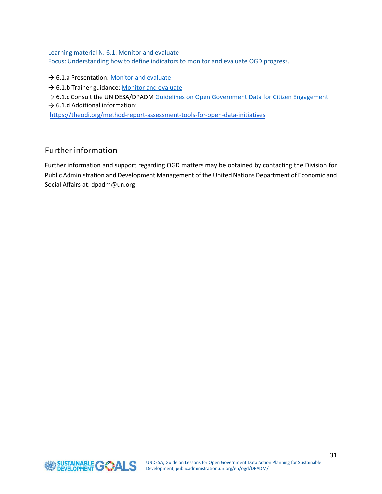Learning material N. 6.1: Monitor and evaluate Focus: Understanding how to define indicators to monitor and evaluate OGD progress.

- → 6.1.a Presentation: [Monitor and evaluate](https://drive.google.com/open?id=1A8lJ88uV2OV0uVfnna97TbLuQpCwHnLY)
- → 6.1.b Trainer guidance: [Monitor and evaluate](https://drive.google.com/open?id=1rdaepZRxaKwfifvZDttfN2v4vzmcyDwu)
- → 6.1.c Consult the UN DESA/DPADM [Guidelines on Open Government Data for Citizen Engagement](https://drive.google.com/open?id=1o2CgFvx5Z5Y9dn8uiH-isHJYKgXgNo_M)
- $\rightarrow$  6.1.d Additional information:

<https://theodi.org/method-report-assessment-tools-for-open-data-initiatives>

## <span id="page-31-0"></span>Further information

Further information and support regarding OGD matters may be obtained by contacting the Division for Public Administration and Development Management of the United Nations Department of Economic and Social Affairs at: dpadm@un.org

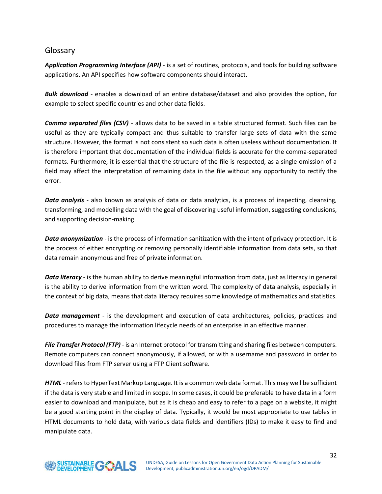## <span id="page-32-0"></span>Glossary

*Application Programming Interface (API)* - is a set of routines, protocols, and tools for building software applications. An API specifies how software components should interact.

*Bulk download* - enables a download of an entire database/dataset and also provides the option, for example to select specific countries and other data fields.

*Comma separated files (CSV)* - allows data to be saved in a table structured format. Such files can be useful as they are typically compact and thus suitable to transfer large sets of data with the same structure. However, the format is not consistent so such data is often useless without documentation. It is therefore important that documentation of the individual fields is accurate for the comma-separated formats. Furthermore, it is essential that the structure of the file is respected, as a single omission of a field may affect the interpretation of remaining data in the file without any opportunity to rectify the error.

*Data analysis* - also known as analysis of data or data analytics, is a process of inspecting, cleansing, transforming, and modelling data with the goal of discovering useful information, suggesting conclusions, and supporting decision-making.

*Data anonymization* - is the process of information sanitization with the intent of privacy protection. It is the process of either encrypting or removing personally identifiable information from data sets, so that data remain anonymous and free of private information.

*Data literacy* - is the human ability to derive meaningful information from data, just as literacy in general is the ability to derive information from the written word. The complexity of data analysis, especially in the context of big data, means that data literacy requires some knowledge of mathematics and statistics.

*Data management* - is the development and execution of data architectures, policies, practices and procedures to manage the information lifecycle needs of an enterprise in an effective manner.

*File Transfer Protocol (FTP)* - is an Internet protocol for transmitting and sharing files between computers. Remote computers can connect anonymously, if allowed, or with a username and password in order to download files from FTP server using a FTP Client software.

*HTML* - refers to HyperText Markup Language. It is a common web data format. This may well be sufficient if the data is very stable and limited in scope. In some cases, it could be preferable to have data in a form easier to download and manipulate, but as it is cheap and easy to refer to a page on a website, it might be a good starting point in the display of data. Typically, it would be most appropriate to use tables in HTML documents to hold data, with various data fields and identifiers (IDs) to make it easy to find and manipulate data.

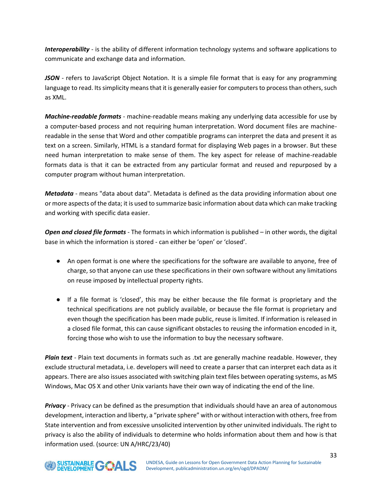*Interoperability* - is the ability of different information technology systems and software applications to communicate and exchange data and information.

*JSON* - refers to JavaScript Object Notation. It is a simple file format that is easy for any programming language to read. Its simplicity means that it is generally easier for computers to process than others, such as XML.

*Machine-readable formats* - machine-readable means making any underlying data accessible for use by a computer-based process and not requiring human interpretation. Word document files are machinereadable in the sense that Word and other compatible programs can interpret the data and present it as text on a screen. Similarly, HTML is a standard format for displaying Web pages in a browser. But these need human interpretation to make sense of them. The key aspect for release of machine-readable formats data is that it can be extracted from any particular format and reused and repurposed by a computer program without human interpretation.

*Metadata* - means "data about data". Metadata is defined as the data providing information about one or more aspects of the data; it is used to summarize basic information about data which can make tracking and working with specific data easier.

*Open and closed file formats* - The formats in which information is published – in other words, the digital base in which the information is stored - can either be 'open' or 'closed'.

- An open format is one where the specifications for the software are available to anyone, free of charge, so that anyone can use these specifications in their own software without any limitations on reuse imposed by intellectual property rights.
- If a file format is 'closed', this may be either because the file format is proprietary and the technical specifications are not publicly available, or because the file format is proprietary and even though the specification has been made public, reuse is limited. If information is released in a closed file format, this can cause significant obstacles to reusing the information encoded in it, forcing those who wish to use the information to buy the necessary software.

*Plain text* - Plain text documents in formats such as .txt are generally machine readable. However, they exclude structural metadata, i.e. developers will need to create a parser that can interpret each data as it appears. There are also issues associated with switching plain text files between operating systems, as MS Windows, Mac OS X and other Unix variants have their own way of indicating the end of the line.

*Privacy* - Privacy can be defined as the presumption that individuals should have an area of autonomous development, interaction and liberty, a "private sphere" with or without interaction with others, free from State intervention and from excessive unsolicited intervention by other uninvited individuals. The right to privacy is also the ability of individuals to determine who holds information about them and how is that information used. (source: UN A/HRC/23/40)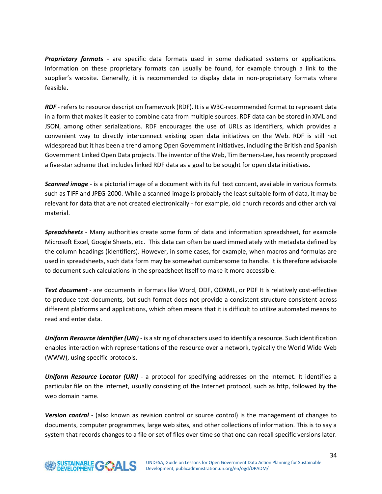*Proprietary formats* - are specific data formats used in some dedicated systems or applications. Information on these proprietary formats can usually be found, for example through a link to the supplier's website. Generally, it is recommended to display data in non-proprietary formats where feasible.

*RDF* - refers to resource description framework (RDF). It is a W3C-recommended format to represent data in a form that makes it easier to combine data from multiple sources. RDF data can be stored in XML and JSON, among other serializations. RDF encourages the use of URLs as identifiers, which provides a convenient way to directly interconnect existing open data initiatives on the Web. RDF is still not widespread but it has been a trend among Open Government initiatives, including the British and Spanish Government Linked Open Data projects. The inventor of the Web, Tim Berners-Lee, has recently proposed a five-star scheme that includes linked RDF data as a goal to be sought for open data initiatives.

*Scanned image* - is a pictorial image of a document with its full text content, available in various formats such as TIFF and JPEG-2000. While a scanned image is probably the least suitable form of data, it may be relevant for data that are not created electronically - for example, old church records and other archival material.

*Spreadsheets* - Many authorities create some form of data and information spreadsheet, for example Microsoft Excel, Google Sheets, etc. This data can often be used immediately with metadata defined by the column headings (identifiers). However, in some cases, for example, when macros and formulas are used in spreadsheets, such data form may be somewhat cumbersome to handle. It is therefore advisable to document such calculations in the spreadsheet itself to make it more accessible.

*Text document* - are documents in formats like Word, ODF, OOXML, or PDF It is relatively cost-effective to produce text documents, but such format does not provide a consistent structure consistent across different platforms and applications, which often means that it is difficult to utilize automated means to read and enter data.

*Uniform Resource Identifier (URI)* - is a string of characters used to identify a resource. Such identification enables interaction with representations of the resource over a network, typically the World Wide Web (WWW), using specific protocols.

*Uniform Resource Locator (URI) -* a protocol for specifying addresses on the Internet. It identifies a particular file on the Internet, usually consisting of the Internet protocol, such as http, followed by the web domain name.

*Version control* - (also known as revision control or source control) is the management of changes to documents, computer programmes, large web sites, and other collections of information. This is to say a system that records changes to a file or set of files over time so that one can recall specific versions later.